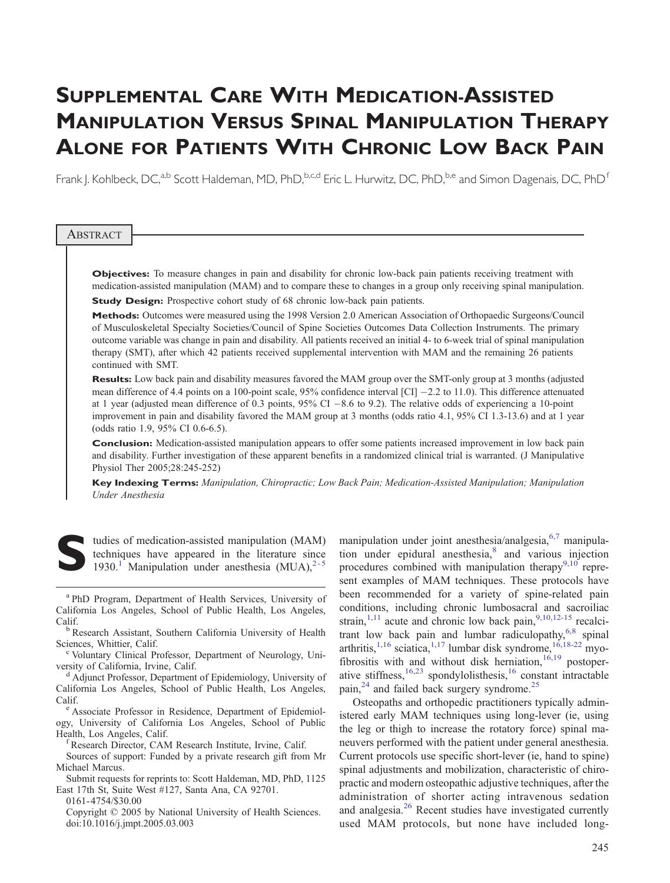# SUPPLEMENTAL CARE WITH MEDICATION-ASSISTED MANIPULATION VERSUS SPINAL MANIPULATION THERAPY ALONE FOR PATIENTS WITH CHRONIC LOW BACK PAIN

Frank J. Kohlbeck, DC,<sup>a,b</sup> Scott Haldeman, MD, PhD,<sup>b,c,d</sup> Eric L. Hurwitz, DC, PhD,<sup>b,e</sup> and Simon Dagenais, DC, PhD<sup>f</sup>

#### **ABSTRACT**

Objectives: To measure changes in pain and disability for chronic low-back pain patients receiving treatment with medication-assisted manipulation (MAM) and to compare these to changes in a group only receiving spinal manipulation. Study Design: Prospective cohort study of 68 chronic low-back pain patients.

Methods: Outcomes were measured using the 1998 Version 2.0 American Association of Orthopaedic Surgeons/Council of Musculoskeletal Specialty Societies/Council of Spine Societies Outcomes Data Collection Instruments. The primary outcome variable was change in pain and disability. All patients received an initial 4- to 6-week trial of spinal manipulation therapy (SMT), after which 42 patients received supplemental intervention with MAM and the remaining 26 patients continued with SMT.

Results: Low back pain and disability measures favored the MAM group over the SMT-only group at 3 months (adjusted mean difference of 4.4 points on a 100-point scale,  $95\%$  confidence interval [CI]  $-2.2$  to 11.0). This difference attenuated at 1 year (adjusted mean difference of 0.3 points,  $95\%$  CI  $-8.6$  to 9.2). The relative odds of experiencing a 10-point improvement in pain and disability favored the MAM group at 3 months (odds ratio 4.1, 95% CI 1.3-13.6) and at 1 year (odds ratio 1.9, 95% CI 0.6-6.5).

Conclusion: Medication-assisted manipulation appears to offer some patients increased improvement in low back pain and disability. Further investigation of these apparent benefits in a randomized clinical trial is warranted. (J Manipulative Physiol Ther 2005;28:245-252)

Key Indexing Terms: Manipulation, Chiropractic; Low Back Pain; Medication-Assisted Manipulation; Manipulation Under Anesthesia



tudies of medication-assisted manipulation (MAM)<br>techniques have appeared in the literature since<br>1930.<sup>1</sup> Manipulation under anesthesia (MUA),<sup>2-5</sup> techniques have appeared in the literature since 193[0.](#page-7-0)<sup>1</sup> Manipulation under anesthesia (MUA),  $2-5$ 

<sup>a</sup> PhD Program, Department of Health Services, University of California Los Angeles, School of Public Health, Los Angeles,

<sup>b</sup> Research Assistant, Southern California University of Health Sciences, Whittier, Calif.

<sup>c</sup> Voluntary Clinical Professor, Department of Neurology, University of California, Irvine, Calif.<br>d Adjunct Professor, Department of Epidemiology, University of

California Los Angeles, School of Public Health, Los Angeles, Calif.<br>
<sup>e</sup> Associate Professor in Residence, Department of Epidemiol-

ogy, University of California Los Angeles, School of Public Health, Los Angeles, Calif.

<sup>t</sup> Research Director, CAM Research Institute, Irvine, Calif.

Sources of support: Funded by a private research gift from Mr Michael Marcus.

Submit requests for reprints to: Scott Haldeman, MD, PhD, 1125 East 17th St, Suite West #127, Santa Ana, CA 92701.

0161-4754/\$30.00

Copyright © 2005 by National University of Health Sciences. doi:10.1016/j.jmpt.2005.03.003

manipulation under joint anesth[esia/a](#page-7-0)nalgesia, $6,7$  manipulation under epidural anesthesia,<sup>8</sup> and various injection procedures combined with manipulation therapy $9,10$  represent examples of MAM techniques. These protocols have been recommended for a variety of spine-related pain conditions, including chronic lumbosacral and sacroiliac strain,<sup>[1,11](#page-7-0)</sup> acute and chronic low back pain,<sup>9,10,12-15</sup> recalcitrant low back p[ain and](#page-7-0) lumbar radiculopathy, $6,8$  spinal arthritis, $^{1,16}$  $^{1,16}$  $^{1,16}$  sciatica, $^{1,17}$  lumbar disk syndrome, $^{16,18-22}$  $^{16,18-22}$  $^{16,18-22}$  myofibrositis wi[th and](#page-7-0) without disk herniation,<sup>[16,19](#page-7-0)</sup> postoperati[ve stiff](#page-7-0)ness,  $16,23$  spondylolisthesis,  $16$  c[onsta](#page-7-0)nt intractable pain,<sup>24</sup> and failed back surgery syndrome.<sup>25</sup>

Osteopaths and orthopedic practitioners typically administered early MAM techniques using long-lever (ie, using the leg or thigh to increase the rotatory force) spinal maneuvers performed with the patient under general anesthesia. Current protocols use specific short-lever (ie, hand to spine) spinal adjustments and mobilization, characteristic of chiropractic and modern osteopathic adjustive techniques, after the administrati[on of](#page-7-0) shorter acting intravenous sedation and analgesia.<sup>26</sup> Recent studies have investigated currently used MAM protocols, but none have included long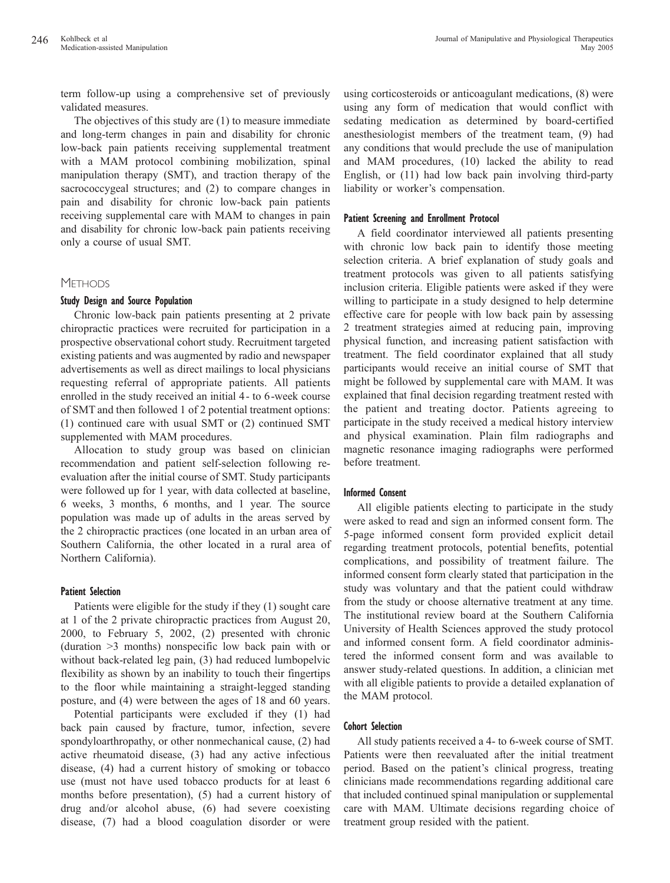term follow-up using a comprehensive set of previously validated measures.

The objectives of this study are (1) to measure immediate and long-term changes in pain and disability for chronic low-back pain patients receiving supplemental treatment with a MAM protocol combining mobilization, spinal manipulation therapy (SMT), and traction therapy of the sacrococcygeal structures; and (2) to compare changes in pain and disability for chronic low-back pain patients receiving supplemental care with MAM to changes in pain and disability for chronic low-back pain patients receiving only a course of usual SMT.

# **METHODS**

#### Study Design and Source Population

Chronic low-back pain patients presenting at 2 private chiropractic practices were recruited for participation in a prospective observational cohort study. Recruitment targeted existing patients and was augmented by radio and newspaper advertisements as well as direct mailings to local physicians requesting referral of appropriate patients. All patients enrolled in the study received an initial 4 - to 6 -week course of SMT and then followed 1 of 2 potential treatment options: (1) continued care with usual SMT or (2) continued SMT supplemented with MAM procedures.

Allocation to study group was based on clinician recommendation and patient self-selection following reevaluation after the initial course of SMT. Study participants were followed up for 1 year, with data collected at baseline, 6 weeks, 3 months, 6 months, and 1 year. The source population was made up of adults in the areas served by the 2 chiropractic practices (one located in an urban area of Southern California, the other located in a rural area of Northern California).

# Patient Selection

Patients were eligible for the study if they (1) sought care at 1 of the 2 private chiropractic practices from August 20, 2000, to February 5, 2002, (2) presented with chronic (duration  $\geq$ 3 months) nonspecific low back pain with or without back-related leg pain, (3) had reduced lumbopelvic flexibility as shown by an inability to touch their fingertips to the floor while maintaining a straight-legged standing posture, and (4) were between the ages of 18 and 60 years.

Potential participants were excluded if they (1) had back pain caused by fracture, tumor, infection, severe spondyloarthropathy, or other nonmechanical cause, (2) had active rheumatoid disease, (3) had any active infectious disease, (4) had a current history of smoking or tobacco use (must not have used tobacco products for at least 6 months before presentation), (5) had a current history of drug and/or alcohol abuse, (6) had severe coexisting disease, (7) had a blood coagulation disorder or were

using corticosteroids or anticoagulant medications, (8) were using any form of medication that would conflict with sedating medication as determined by board-certified anesthesiologist members of the treatment team, (9) had any conditions that would preclude the use of manipulation and MAM procedures, (10) lacked the ability to read English, or (11) had low back pain involving third-party liability or worker's compensation.

# Patient Screening and Enrollment Protocol

A field coordinator interviewed all patients presenting with chronic low back pain to identify those meeting selection criteria. A brief explanation of study goals and treatment protocols was given to all patients satisfying inclusion criteria. Eligible patients were asked if they were willing to participate in a study designed to help determine effective care for people with low back pain by assessing 2 treatment strategies aimed at reducing pain, improving physical function, and increasing patient satisfaction with treatment. The field coordinator explained that all study participants would receive an initial course of SMT that might be followed by supplemental care with MAM. It was explained that final decision regarding treatment rested with the patient and treating doctor. Patients agreeing to participate in the study received a medical history interview and physical examination. Plain film radiographs and magnetic resonance imaging radiographs were performed before treatment.

# Informed Consent

All eligible patients electing to participate in the study were asked to read and sign an informed consent form. The 5-page informed consent form provided explicit detail regarding treatment protocols, potential benefits, potential complications, and possibility of treatment failure. The informed consent form clearly stated that participation in the study was voluntary and that the patient could withdraw from the study or choose alternative treatment at any time. The institutional review board at the Southern California University of Health Sciences approved the study protocol and informed consent form. A field coordinator administered the informed consent form and was available to answer study-related questions. In addition, a clinician met with all eligible patients to provide a detailed explanation of the MAM protocol.

#### Cohort Selection

All study patients received a 4- to 6-week course of SMT. Patients were then reevaluated after the initial treatment period. Based on the patient's clinical progress, treating clinicians made recommendations regarding additional care that included continued spinal manipulation or supplemental care with MAM. Ultimate decisions regarding choice of treatment group resided with the patient.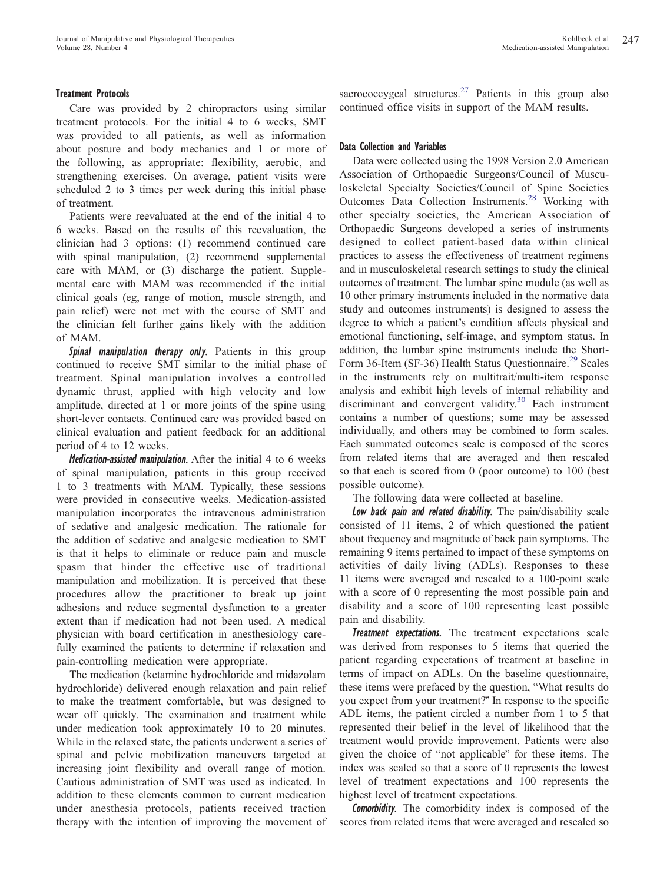#### Treatment Protocols

Care was provided by 2 chiropractors using similar treatment protocols. For the initial 4 to 6 weeks, SMT was provided to all patients, as well as information about posture and body mechanics and 1 or more of the following, as appropriate: flexibility, aerobic, and strengthening exercises. On average, patient visits were scheduled 2 to 3 times per week during this initial phase of treatment.

Patients were reevaluated at the end of the initial 4 to 6 weeks. Based on the results of this reevaluation, the clinician had 3 options: (1) recommend continued care with spinal manipulation, (2) recommend supplemental care with MAM, or (3) discharge the patient. Supplemental care with MAM was recommended if the initial clinical goals (eg, range of motion, muscle strength, and pain relief) were not met with the course of SMT and the clinician felt further gains likely with the addition of MAM.

Spinal manipulation therapy only. Patients in this group continued to receive SMT similar to the initial phase of treatment. Spinal manipulation involves a controlled dynamic thrust, applied with high velocity and low amplitude, directed at 1 or more joints of the spine using short-lever contacts. Continued care was provided based on clinical evaluation and patient feedback for an additional period of 4 to 12 weeks.

Medication-assisted manipulation. After the initial 4 to 6 weeks of spinal manipulation, patients in this group received 1 to 3 treatments with MAM. Typically, these sessions were provided in consecutive weeks. Medication-assisted manipulation incorporates the intravenous administration of sedative and analgesic medication. The rationale for the addition of sedative and analgesic medication to SMT is that it helps to eliminate or reduce pain and muscle spasm that hinder the effective use of traditional manipulation and mobilization. It is perceived that these procedures allow the practitioner to break up joint adhesions and reduce segmental dysfunction to a greater extent than if medication had not been used. A medical physician with board certification in anesthesiology carefully examined the patients to determine if relaxation and pain-controlling medication were appropriate.

The medication (ketamine hydrochloride and midazolam hydrochloride) delivered enough relaxation and pain relief to make the treatment comfortable, but was designed to wear off quickly. The examination and treatment while under medication took approximately 10 to 20 minutes. While in the relaxed state, the patients underwent a series of spinal and pelvic mobilization maneuvers targeted at increasing joint flexibility and overall range of motion. Cautious administration of SMT was used as indicated. In addition to these elements common to current medication under anesthesia protocols, patients received traction therapy with the intention of improving the movement of

#### Data Collection and Variables

Data were collected using the 1998 Version 2.0 American Association of Orthopaedic Surgeons/Council of Musculoskeletal Specialty Societies/Council [of S](#page-7-0)pine Societies Outcomes Data Collection Instruments.<sup>28</sup> Working with other specialty societies, the American Association of Orthopaedic Surgeons developed a series of instruments designed to collect patient-based data within clinical practices to assess the effectiveness of treatment regimens and in musculoskeletal research settings to study the clinical outcomes of treatment. The lumbar spine module (as well as 10 other primary instruments included in the normative data study and outcomes instruments) is designed to assess the degree to which a patient's condition affects physical and emotional functioning, self-image, and symptom status. In addition, the lumbar spine instruments include [the Sh](#page-7-0)ort-Form 36-Item (SF-36) Health Status Questionnaire.<sup>29</sup> Scales in the instruments rely on multitrait/multi-item response analysis and exhibit high levels of [interna](#page-7-0)l reliability and discriminant and convergent validity.<sup>30</sup> Each instrument contains a number of questions; some may be assessed individually, and others may be combined to form scales. Each summated outcomes scale is composed of the scores from related items that are averaged and then rescaled so that each is scored from 0 (poor outcome) to 100 (best possible outcome).

The following data were collected at baseline.

Low back pain and related disability. The pain/disability scale consisted of 11 items, 2 of which questioned the patient about frequency and magnitude of back pain symptoms. The remaining 9 items pertained to impact of these symptoms on activities of daily living (ADLs). Responses to these 11 items were averaged and rescaled to a 100-point scale with a score of 0 representing the most possible pain and disability and a score of 100 representing least possible pain and disability.

**Treatment expectations.** The treatment expectations scale was derived from responses to 5 items that queried the patient regarding expectations of treatment at baseline in terms of impact on ADLs. On the baseline questionnaire, these items were prefaced by the question, "What results do you expect from your treatment?" In response to the specific ADL items, the patient circled a number from 1 to 5 that represented their belief in the level of likelihood that the treatment would provide improvement. Patients were also given the choice of "not applicable" for these items. The index was scaled so that a score of 0 represents the lowest level of treatment expectations and 100 represents the highest level of treatment expectations.

**Comorbidity.** The comorbidity index is composed of the scores from related items that were averaged and rescaled so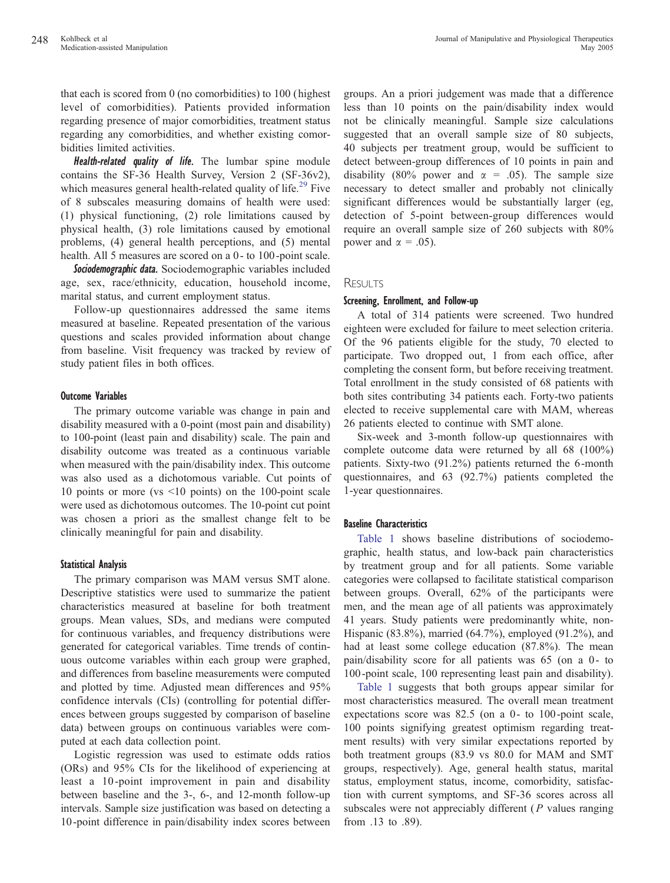that each is scored from 0 (no comorbidities) to 100 (highest level of comorbidities). Patients provided information regarding presence of major comorbidities, treatment status regarding any comorbidities, and whether existing comorbidities limited activities.

**Health-related quality of life.** The lumbar spine module contains the SF-36 Health Survey, Version 2 (S[F-36v](#page-7-0)2), which measures general health-related quality of life.<sup>29</sup> Five of 8 subscales measuring domains of health were used: (1) physical functioning, (2) role limitations caused by physical health, (3) role limitations caused by emotional problems, (4) general health perceptions, and (5) mental health. All 5 measures are scored on a 0- to 100-point scale.

**Sociodemographic data.** Sociodemographic variables included age, sex, race/ethnicity, education, household income, marital status, and current employment status.

Follow-up questionnaires addressed the same items measured at baseline. Repeated presentation of the various questions and scales provided information about change from baseline. Visit frequency was tracked by review of study patient files in both offices.

#### Outcome Variables

The primary outcome variable was change in pain and disability measured with a 0-point (most pain and disability) to 100-point (least pain and disability) scale. The pain and disability outcome was treated as a continuous variable when measured with the pain/disability index. This outcome was also used as a dichotomous variable. Cut points of 10 points or more (vs  $\leq$ 10 points) on the 100-point scale were used as dichotomous outcomes. The 10-point cut point was chosen a priori as the smallest change felt to be clinically meaningful for pain and disability.

#### Statistical Analysis

The primary comparison was MAM versus SMT alone. Descriptive statistics were used to summarize the patient characteristics measured at baseline for both treatment groups. Mean values, SDs, and medians were computed for continuous variables, and frequency distributions were generated for categorical variables. Time trends of continuous outcome variables within each group were graphed, and differences from baseline measurements were computed and plotted by time. Adjusted mean differences and 95% confidence intervals (CIs) (controlling for potential differences between groups suggested by comparison of baseline data) between groups on continuous variables were computed at each data collection point.

Logistic regression was used to estimate odds ratios (ORs) and 95% CIs for the likelihood of experiencing at least a 10 -point improvement in pain and disability between baseline and the 3-, 6-, and 12-month follow-up intervals. Sample size justification was based on detecting a 10 -point difference in pain/disability index scores between groups. An a priori judgement was made that a difference less than 10 points on the pain/disability index would not be clinically meaningful. Sample size calculations suggested that an overall sample size of 80 subjects, 40 subjects per treatment group, would be sufficient to detect between-group differences of 10 points in pain and disability (80% power and  $\alpha = .05$ ). The sample size necessary to detect smaller and probably not clinically significant differences would be substantially larger (eg, detection of 5-point between-group differences would require an overall sample size of 260 subjects with 80% power and  $\alpha = .05$ ).

#### **RESULTS**

#### Screening, Enrollment, and Follow-up

A total of 314 patients were screened. Two hundred eighteen were excluded for failure to meet selection criteria. Of the 96 patients eligible for the study, 70 elected to participate. Two dropped out, 1 from each office, after completing the consent form, but before receiving treatment. Total enrollment in the study consisted of 68 patients with both sites contributing 34 patients each. Forty-two patients elected to receive supplemental care with MAM, whereas 26 patients elected to continue with SMT alone.

Six-week and 3-month follow-up questionnaires with complete outcome data were returned by all 68 (100%) patients. Sixty-two (91.2%) patients returned the 6 -month questionnaires, and 63 (92.7%) patients completed the 1-year questionnaires.

# Baseline Characteristics

[Table 1](#page-4-0) shows baseline distributions of sociodemographic, health status, and low-back pain characteristics by treatment group and for all patients. Some variable categories were collapsed to facilitate statistical comparison between groups. Overall, 62% of the participants were men, and the mean age of all patients was approximately 41 years. Study patients were predominantly white, non-Hispanic (83.8%), married (64.7%), employed (91.2%), and had at least some college education (87.8%). The mean pain/disability score for all patients was 65 (on a 0- to 100 -point scale, 100 representing least pain and disability).

[Table 1](#page-4-0) suggests that both groups appear similar for most characteristics measured. The overall mean treatment expectations score was  $82.5$  (on a 0- to 100-point scale, 100 points signifying greatest optimism regarding treatment results) with very similar expectations reported by both treatment groups (83.9 vs 80.0 for MAM and SMT groups, respectively). Age, general health status, marital status, employment status, income, comorbidity, satisfaction with current symptoms, and SF-36 scores across all subscales were not appreciably different  $(P$  values ranging from .13 to .89).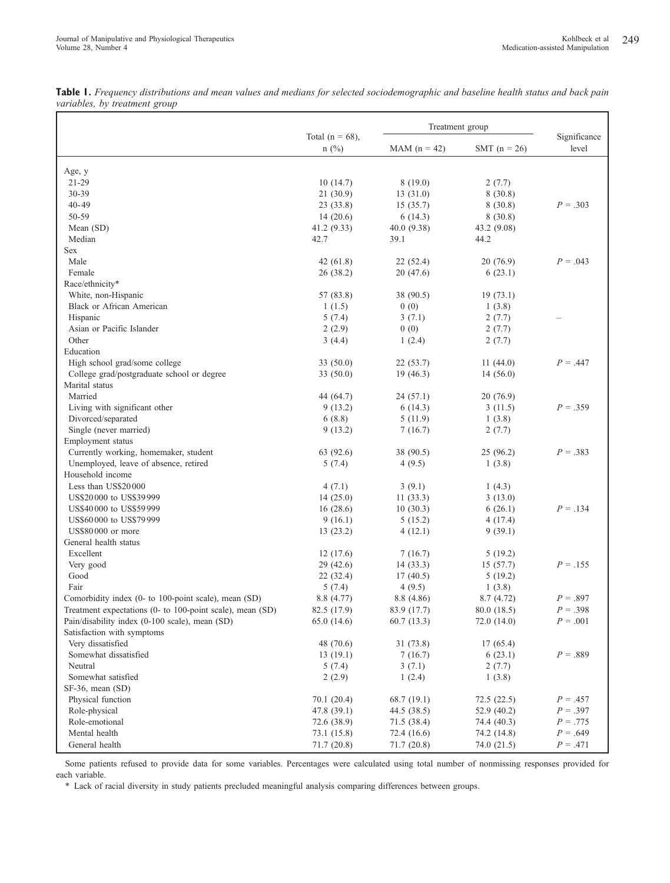|                                                           |                                | Treatment group |                | Significance |
|-----------------------------------------------------------|--------------------------------|-----------------|----------------|--------------|
|                                                           | Total ( $n = 68$ ),<br>$n$ (%) | MAM $(n = 42)$  | SMT $(n = 26)$ | level        |
| Age, y                                                    |                                |                 |                |              |
| $21 - 29$                                                 | 10(14.7)                       | 8(19.0)         | 2(7.7)         |              |
| 30-39                                                     | 21 (30.9)                      | 13(31.0)        | 8(30.8)        |              |
| $40 - 49$                                                 | 23 (33.8)                      | 15(35.7)        | 8(30.8)        | $P = .303$   |
| 50-59                                                     | 14(20.6)                       | 6(14.3)         | 8(30.8)        |              |
| Mean (SD)                                                 | 41.2 (9.33)                    | 40.0 (9.38)     | 43.2 (9.08)    |              |
| Median                                                    | 42.7                           | 39.1            | 44.2           |              |
| Sex                                                       |                                |                 |                |              |
| Male                                                      | 42 $(61.8)$                    | 22(52.4)        | 20(76.9)       | $P = .043$   |
| Female                                                    | 26 (38.2)                      | 20(47.6)        | 6(23.1)        |              |
| Race/ethnicity*                                           |                                |                 |                |              |
| White, non-Hispanic                                       | 57 (83.8)                      | 38 (90.5)       | 19 (73.1)      |              |
| <b>Black or African American</b>                          | 1(1.5)                         | 0(0)            | 1(3.8)         |              |
| Hispanic                                                  | 5(7.4)                         | 3(7.1)          | 2(7.7)         |              |
| Asian or Pacific Islander                                 | 2(2.9)                         | 0(0)            | 2(7.7)         |              |
| Other                                                     |                                |                 |                |              |
| Education                                                 | 3(4.4)                         | 1(2.4)          | 2(7.7)         |              |
| High school grad/some college                             | 33(50.0)                       | 22(53.7)        | 11(44.0)       | $P = .447$   |
| College grad/postgraduate school or degree                | 33(50.0)                       | 19(46.3)        | 14(56.0)       |              |
| Marital status                                            |                                |                 |                |              |
| Married                                                   |                                |                 |                |              |
|                                                           | 44 (64.7)                      | 24(57.1)        | 20(76.9)       |              |
| Living with significant other                             | 9(13.2)                        | 6(14.3)         | 3(11.5)        | $P = .359$   |
| Divorced/separated                                        | 6(8.8)                         | 5(11.9)         | 1(3.8)         |              |
| Single (never married)                                    | 9(13.2)                        | 7(16.7)         | 2(7.7)         |              |
| Employment status                                         |                                |                 |                |              |
| Currently working, homemaker, student                     | 63 (92.6)                      | 38 (90.5)       | 25 (96.2)      | $P = .383$   |
| Unemployed, leave of absence, retired                     | 5(7.4)                         | 4(9.5)          | 1(3.8)         |              |
| Household income                                          |                                |                 |                |              |
| Less than US\$20000                                       | 4(7.1)                         | 3(9.1)          | 1(4.3)         |              |
| US\$20000 to US\$39999                                    | 14(25.0)                       | 11(33.3)        | 3(13.0)        |              |
| US\$40000 to US\$59999                                    | 16(28.6)                       | 10(30.3)        | 6(26.1)        | $P = .134$   |
| US\$60000 to US\$79999                                    | 9(16.1)                        | 5(15.2)         | 4(17.4)        |              |
| US\$80000 or more                                         | 13(23.2)                       | 4(12.1)         | 9(39.1)        |              |
| General health status                                     |                                |                 |                |              |
| Excellent                                                 | 12(17.6)                       | 7(16.7)         | 5(19.2)        |              |
| Very good                                                 | 29(42.6)                       | 14(33.3)        | 15(57.7)       | $P = .155$   |
| Good                                                      | 22 (32.4)                      | 17(40.5)        | 5(19.2)        |              |
| Fair                                                      | 5(7.4)                         | 4(9.5)          | 1(3.8)         |              |
| Comorbidity index (0- to 100-point scale), mean (SD)      | 8.8 (4.77)                     | 8.8 (4.86)      | 8.7 (4.72)     | $P = .897$   |
| Treatment expectations (0- to 100-point scale), mean (SD) | 82.5 (17.9)                    | 83.9 (17.7)     | 80.0 (18.5)    | $P = .398$   |
| Pain/disability index (0-100 scale), mean (SD)            | 65.0(14.6)                     | 60.7(13.3)      | 72.0(14.0)     | $P = .001$   |
| Satisfaction with symptoms                                |                                |                 |                |              |
| Very dissatisfied                                         | 48 (70.6)                      | 31(73.8)        | 17(65.4)       |              |
| Somewhat dissatisfied                                     | 13(19.1)                       | 7(16.7)         | 6(23.1)        | $P = .889$   |
| Neutral                                                   | 5(7.4)                         | 3(7.1)          | 2(7.7)         |              |
| Somewhat satisfied                                        | 2(2.9)                         | 1(2.4)          | 1(3.8)         |              |
| SF-36, mean (SD)                                          |                                |                 |                |              |
| Physical function                                         | 70.1(20.4)                     | 68.7 (19.1)     | 72.5(22.5)     | $P = .457$   |
| Role-physical                                             | 47.8(39.1)                     | 44.5 (38.5)     | 52.9 (40.2)    | $P = .397$   |
| Role-emotional                                            | 72.6 (38.9)                    | 71.5 (38.4)     | 74.4 (40.3)    | $P = .775$   |
| Mental health                                             | 73.1 (15.8)                    | 72.4 (16.6)     | 74.2 (14.8)    | $P = .649$   |
| General health                                            | 71.7(20.8)                     | 71.7(20.8)      | 74.0 (21.5)    | $P = .471$   |

<span id="page-4-0"></span>Table 1. Frequency distributions and mean values and medians for selected sociodemographic and baseline health status and back pain variables, by treatment group

Some patients refused to provide data for some variables. Percentages were calculated using total number of nonmissing responses provided for each variable.

\* Lack of racial diversity in study patients precluded meaningful analysis comparing differences between groups.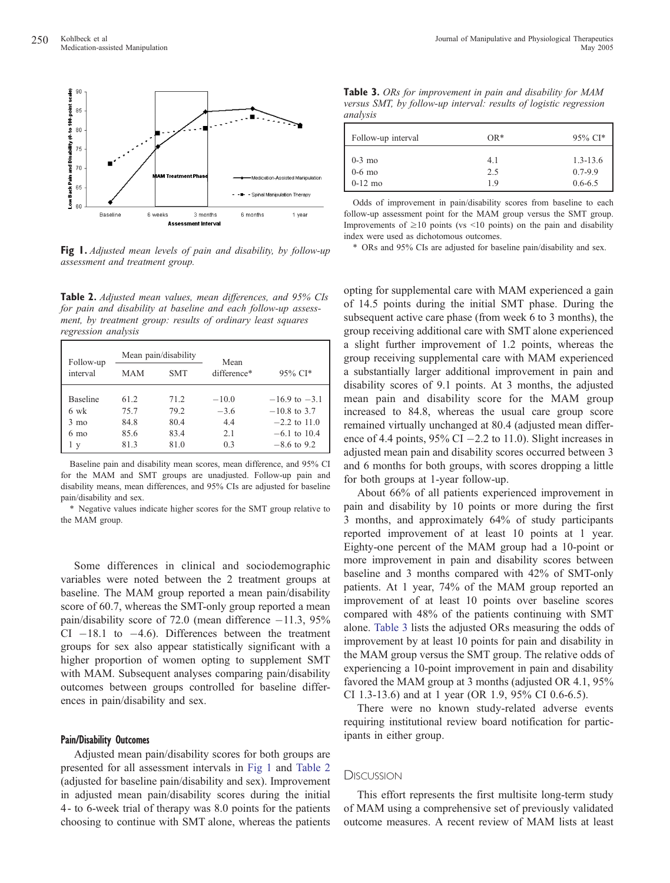

Fig 1. Adjusted mean levels of pain and disability, by follow-up assessment and treatment group.

Table 2. Adjusted mean values, mean differences, and 95% CIs for pain and disability at baseline and each follow-up assessment, by treatment group: results of ordinary least squares regression analysis

| Follow-up       | Mean pain/disability |            | Mean        |                   |
|-----------------|----------------------|------------|-------------|-------------------|
| interval        | MAM                  | <b>SMT</b> | difference* | 95% CI*           |
| <b>Baseline</b> | 61.2                 | 71.2       | $-10.0$     | $-16.9$ to $-3.1$ |
| 6 wk            | 75.7                 | 79.2       | $-3.6$      | $-10.8$ to 3.7    |
| $3 \text{ mo}$  | 84.8                 | 80.4       | 4.4         | $-2.2$ to 11.0    |
| 6 mo            | 85.6                 | 83.4       | 2.1         | $-6.1$ to 10.4    |
| V               | 813                  | 81.0       | 0.3         | $-8.6$ to 9.2     |

Baseline pain and disability mean scores, mean difference, and 95% CI for the MAM and SMT groups are unadjusted. Follow-up pain and disability means, mean differences, and 95% CIs are adjusted for baseline pain/disability and sex.

\* Negative values indicate higher scores for the SMT group relative to the MAM group.

Some differences in clinical and sociodemographic variables were noted between the 2 treatment groups at baseline. The MAM group reported a mean pain/disability score of 60.7, whereas the SMT-only group reported a mean pain/disability score of 72.0 (mean difference  $-11.3$ , 95%  $CI$   $-18.1$  to  $-4.6$ ). Differences between the treatment groups for sex also appear statistically significant with a higher proportion of women opting to supplement SMT with MAM. Subsequent analyses comparing pain/disability outcomes between groups controlled for baseline differences in pain/disability and sex.

#### Pain/Disability Outcomes

Adjusted mean pain/disability scores for both groups are presented for all assessment intervals in Fig 1 and Table 2 (adjusted for baseline pain/disability and sex). Improvement in adjusted mean pain/disability scores during the initial 4 - to 6-week trial of therapy was 8.0 points for the patients choosing to continue with SMT alone, whereas the patients

| <b>Table 3.</b> ORs for improvement in pain and disability for MAM |
|--------------------------------------------------------------------|
| versus SMT, by follow-up interval: results of logistic regression  |
| analysis                                                           |

| Follow-up interval | $OR*$ | $95\%$ CI <sup>*</sup> |
|--------------------|-------|------------------------|
| $0-3$ mo           | 4.1   | $1.3 - 13.6$           |
| $0-6$ mo           | 2.5   | $0.7 - 9.9$            |
| $0-12$ mo          | 19    | $0.6 - 6.5$            |

Odds of improvement in pain/disability scores from baseline to each follow-up assessment point for the MAM group versus the SMT group. Improvements of  $\geq 10$  points (vs <10 points) on the pain and disability index were used as dichotomous outcomes.

\* ORs and 95% CIs are adjusted for baseline pain/disability and sex.

opting for supplemental care with MAM experienced a gain of 14.5 points during the initial SMT phase. During the subsequent active care phase (from week 6 to 3 months), the group receiving additional care with SMT alone experienced a slight further improvement of 1.2 points, whereas the group receiving supplemental care with MAM experienced a substantially larger additional improvement in pain and disability scores of 9.1 points. At 3 months, the adjusted mean pain and disability score for the MAM group increased to 84.8, whereas the usual care group score remained virtually unchanged at 80.4 (adjusted mean difference of 4.4 points,  $95\%$  CI  $-2.2$  to 11.0). Slight increases in adjusted mean pain and disability scores occurred between 3 and 6 months for both groups, with scores dropping a little for both groups at 1-year follow-up.

About 66% of all patients experienced improvement in pain and disability by 10 points or more during the first 3 months, and approximately 64% of study participants reported improvement of at least 10 points at 1 year. Eighty-one percent of the MAM group had a 10-point or more improvement in pain and disability scores between baseline and 3 months compared with 42% of SMT-only patients. At 1 year, 74% of the MAM group reported an improvement of at least 10 points over baseline scores compared with 48% of the patients continuing with SMT alone. Table 3 lists the adjusted ORs measuring the odds of improvement by at least 10 points for pain and disability in the MAM group versus the SMT group. The relative odds of experiencing a 10-point improvement in pain and disability favored the MAM group at 3 months (adjusted OR 4.1, 95% CI 1.3-13.6) and at 1 year (OR 1.9, 95% CI 0.6-6.5).

There were no known study-related adverse events requiring institutional review board notification for participants in either group.

#### **DISCUSSION**

This effort represents the first multisite long-term study of MAM using a comprehensive set of previously validated outcome measures. A recent review of MAM lists at least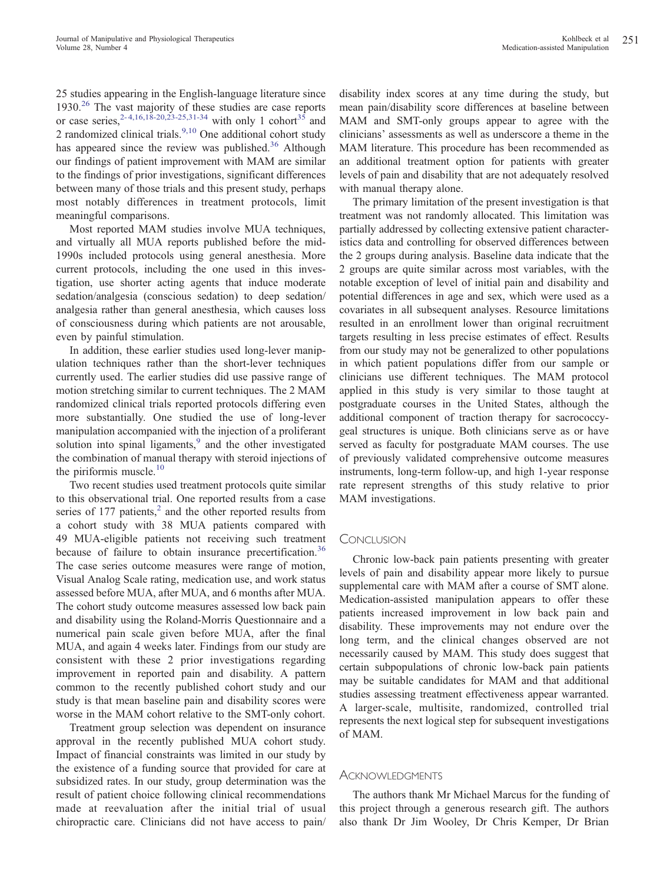2[5 studie](#page-7-0)s appearing in the English-language literature since 1930.<sup>26</sup> Th[e vast majority of these](#page-7-0) studies are cas[e repo](#page-7-0)rts or case series,  $2-4,16,18-20,23-25,31-34$  with only 1 cohort<sup>35</sup> and 2 randomized clinical trials. $9,10$  One additiona[l coh](#page-7-0)ort study has appeared since the review was published.<sup>36</sup> Although our findings of patient improvement with MAM are similar to the findings of prior investigations, significant differences between many of those trials and this present study, perhaps most notably differences in treatment protocols, limit meaningful comparisons.

Most reported MAM studies involve MUA techniques, and virtually all MUA reports published before the mid-1990s included protocols using general anesthesia. More current protocols, including the one used in this investigation, use shorter acting agents that induce moderate sedation/analgesia (conscious sedation) to deep sedation/ analgesia rather than general anesthesia, which causes loss of consciousness during which patients are not arousable, even by painful stimulation.

In addition, these earlier studies used long-lever manipulation techniques rather than the short-lever techniques currently used. The earlier studies did use passive range of motion stretching similar to current techniques. The 2 MAM randomized clinical trials reported protocols differing even more substantially. One studied the use of long-lever manipulation accompanied [with the](#page-7-0) injection of a proliferant solution into spinal ligaments,<sup>9</sup> and the other investigated the combination of m[anual](#page-7-0) therapy with steroid injections of the piriformis muscle. $10$ 

Two recent studies used treatment protocols quite similar to this observational [trial](#page-7-0). One reported results from a case series of  $177$  patients,<sup>2</sup> and the other reported results from a cohort study with 38 MUA patients compared with 49 MUA-eligible patients not receiving such treatment because of failure to obtain insurance precertificatio[n.](#page-7-0)<sup>36</sup> The case series outcome measures were range of motion, Visual Analog Scale rating, medication use, and work status assessed before MUA, after MUA, and 6 months after MUA. The cohort study outcome measures assessed low back pain and disability using the Roland-Morris Questionnaire and a numerical pain scale given before MUA, after the final MUA, and again 4 weeks later. Findings from our study are consistent with these 2 prior investigations regarding improvement in reported pain and disability. A pattern common to the recently published cohort study and our study is that mean baseline pain and disability scores were worse in the MAM cohort relative to the SMT-only cohort.

Treatment group selection was dependent on insurance approval in the recently published MUA cohort study. Impact of financial constraints was limited in our study by the existence of a funding source that provided for care at subsidized rates. In our study, group determination was the result of patient choice following clinical recommendations made at reevaluation after the initial trial of usual chiropractic care. Clinicians did not have access to pain/ disability index scores at any time during the study, but mean pain/disability score differences at baseline between MAM and SMT-only groups appear to agree with the clinicians' assessments as well as underscore a theme in the MAM literature. This procedure has been recommended as an additional treatment option for patients with greater levels of pain and disability that are not adequately resolved with manual therapy alone.

The primary limitation of the present investigation is that treatment was not randomly allocated. This limitation was partially addressed by collecting extensive patient characteristics data and controlling for observed differences between the 2 groups during analysis. Baseline data indicate that the 2 groups are quite similar across most variables, with the notable exception of level of initial pain and disability and potential differences in age and sex, which were used as a covariates in all subsequent analyses. Resource limitations resulted in an enrollment lower than original recruitment targets resulting in less precise estimates of effect. Results from our study may not be generalized to other populations in which patient populations differ from our sample or clinicians use different techniques. The MAM protocol applied in this study is very similar to those taught at postgraduate courses in the United States, although the additional component of traction therapy for sacrococcygeal structures is unique. Both clinicians serve as or have served as faculty for postgraduate MAM courses. The use of previously validated comprehensive outcome measures instruments, long-term follow-up, and high 1-year response rate represent strengths of this study relative to prior MAM investigations.

# **CONCLUSION**

Chronic low-back pain patients presenting with greater levels of pain and disability appear more likely to pursue supplemental care with MAM after a course of SMT alone. Medication-assisted manipulation appears to offer these patients increased improvement in low back pain and disability. These improvements may not endure over the long term, and the clinical changes observed are not necessarily caused by MAM. This study does suggest that certain subpopulations of chronic low-back pain patients may be suitable candidates for MAM and that additional studies assessing treatment effectiveness appear warranted. A larger-scale, multisite, randomized, controlled trial represents the next logical step for subsequent investigations of MAM.

# **ACKNOWLEDGMENTS**

The authors thank Mr Michael Marcus for the funding of this project through a generous research gift. The authors also thank Dr Jim Wooley, Dr Chris Kemper, Dr Brian